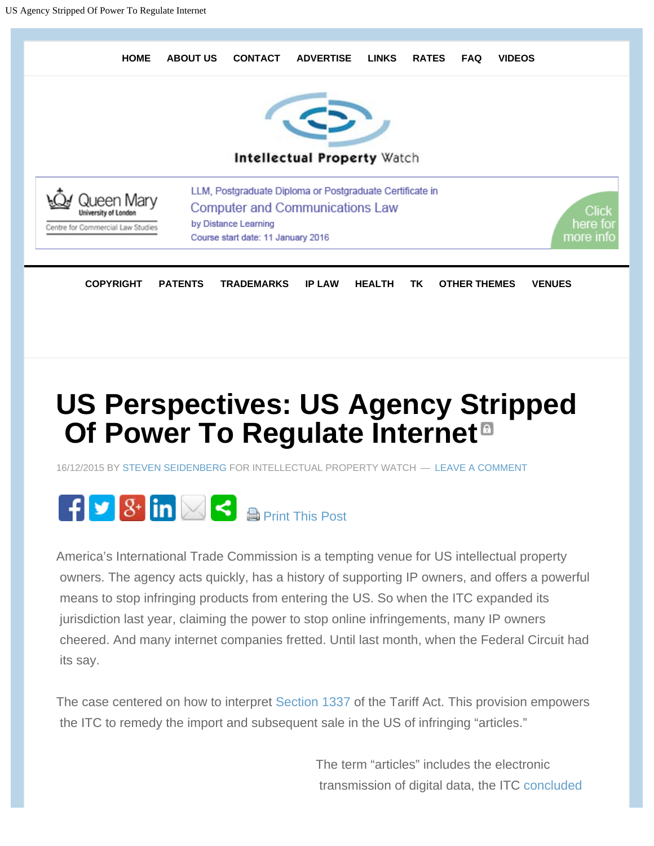

# **US Perspectives: US Agency Stripped Of Power To Regulate Internet**

16/12/2015 BY STEVEN SEIDENBERG FOR INTELLECTUAL PROPERTY WATCH — LEAVE A COMMENT



America's International Trade Commission is a tempting venue for US intellectual property owners. The agency acts quickly, has a history of supporting IP owners, and offers a powerful means to stop infringing products from entering the US. So when the ITC expanded its jurisdiction last year, claiming the power to stop online infringements, many IP owners cheered. And many internet companies fretted. Until last month, when the Federal Circuit had its say.

The case centered on how to interpret Section 1337 of the Tariff Act. This provision empowers the ITC to remedy the import and subsequent sale in the US of infringing "articles."

> The term "articles" includes the electronic transmission of digital data, the ITC concluded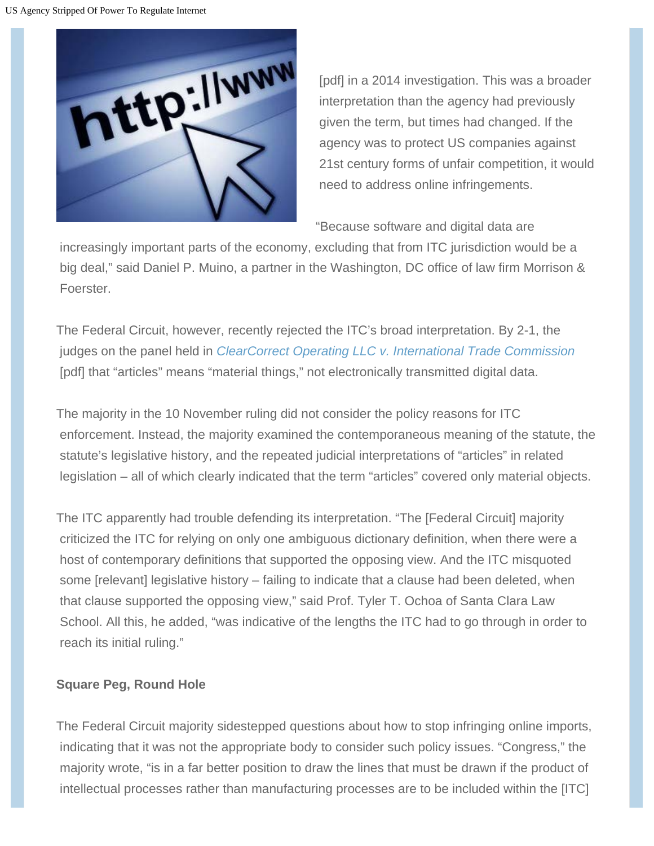

 [pdf] in a 2014 investigation. This was a broader interpretation than the agency had previously given the term, but times had changed. If the agency was to protect US companies against 21st century forms of unfair competition, it would need to address online infringements.

"Because software and digital data are

 increasingly important parts of the economy, excluding that from ITC jurisdiction would be a big deal," said Daniel P. Muino, a partner in the Washington, DC office of law firm Morrison & Foerster.

The Federal Circuit, however, recently rejected the ITC's broad interpretation. By 2-1, the judges on the panel held in *ClearCorrect Operating LLC v. International Trade Commission* [pdf] that "articles" means "material things," not electronically transmitted digital data.

The majority in the 10 November ruling did not consider the policy reasons for ITC enforcement. Instead, the majority examined the contemporaneous meaning of the statute, the statute's legislative history, and the repeated judicial interpretations of "articles" in related legislation – all of which clearly indicated that the term "articles" covered only material objects.

The ITC apparently had trouble defending its interpretation. "The [Federal Circuit] majority criticized the ITC for relying on only one ambiguous dictionary definition, when there were a host of contemporary definitions that supported the opposing view. And the ITC misquoted some [relevant] legislative history – failing to indicate that a clause had been deleted, when that clause supported the opposing view," said Prof. Tyler T. Ochoa of Santa Clara Law School. All this, he added, "was indicative of the lengths the ITC had to go through in order to reach its initial ruling."

### **Square Peg, Round Hole**

The Federal Circuit majority sidestepped questions about how to stop infringing online imports, indicating that it was not the appropriate body to consider such policy issues. "Congress," the majority wrote, "is in a far better position to draw the lines that must be drawn if the product of intellectual processes rather than manufacturing processes are to be included within the [ITC]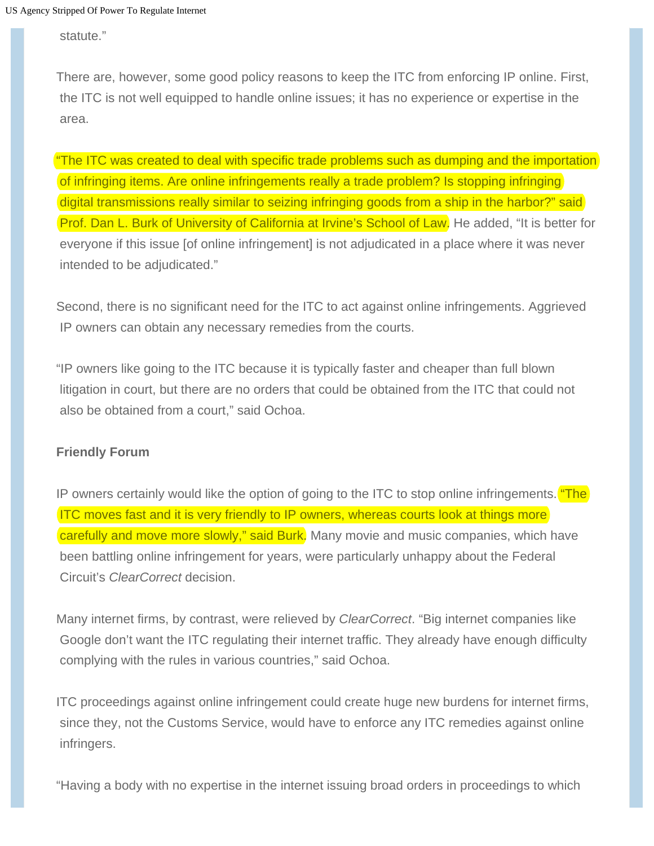statute."

There are, however, some good policy reasons to keep the ITC from enforcing IP online. First, the ITC is not well equipped to handle online issues; it has no experience or expertise in the area.

"The ITC was created to deal with specific trade problems such as dumping and the importation of infringing items. Are online infringements really a trade problem? Is stopping infringing digital transmissions really similar to seizing infringing goods from a ship in the harbor?" said Prof. Dan L. Burk of University of California at Irvine's School of Law. He added, "It is better for everyone if this issue [of online infringement] is not adjudicated in a place where it was never intended to be adjudicated."

Second, there is no significant need for the ITC to act against online infringements. Aggrieved IP owners can obtain any necessary remedies from the courts.

"IP owners like going to the ITC because it is typically faster and cheaper than full blown litigation in court, but there are no orders that could be obtained from the ITC that could not also be obtained from a court," said Ochoa.

#### **Friendly Forum**

IP owners certainly would like the option of going to the ITC to stop online infringements. **"The** ITC moves fast and it is very friendly to IP owners, whereas courts look at things more carefully and move more slowly," said Burk. Many movie and music companies, which have been battling online infringement for years, were particularly unhappy about the Federal Circuit's *ClearCorrect* decision.

Many internet firms, by contrast, were relieved by *ClearCorrect*. "Big internet companies like Google don't want the ITC regulating their internet traffic. They already have enough difficulty complying with the rules in various countries," said Ochoa.

ITC proceedings against online infringement could create huge new burdens for internet firms, since they, not the Customs Service, would have to enforce any ITC remedies against online infringers.

"Having a body with no expertise in the internet issuing broad orders in proceedings to which